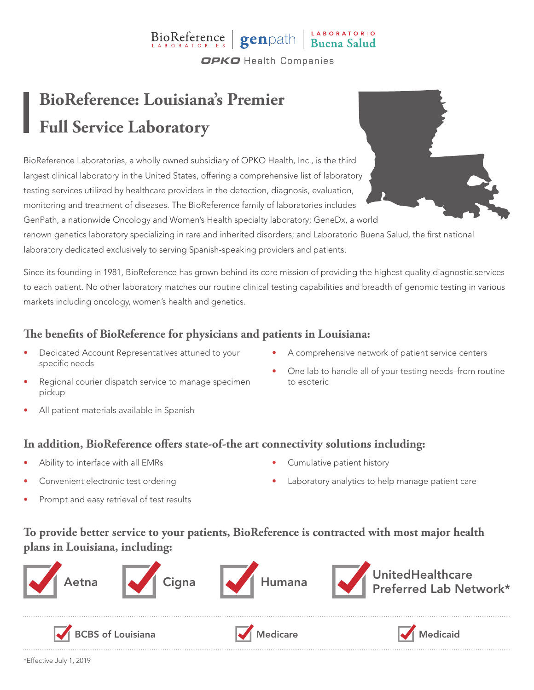# BioReference genpath Buena Salud

**OPKO** Health Companies

## **BioReference: Louisiana's Premier Full Service Laboratory**

BioReference Laboratories, a wholly owned subsidiary of OPKO Health, Inc., is the third largest clinical laboratory in the United States, offering a comprehensive list of laboratory testing services utilized by healthcare providers in the detection, diagnosis, evaluation, monitoring and treatment of diseases. The BioReference family of laboratories includes GenPath, a nationwide Oncology and Women's Health specialty laboratory; GeneDx, a world

renown genetics laboratory specializing in rare and inherited disorders; and Laboratorio Buena Salud, the first national laboratory dedicated exclusively to serving Spanish-speaking providers and patients.

Since its founding in 1981, BioReference has grown behind its core mission of providing the highest quality diagnostic services to each patient. No other laboratory matches our routine clinical testing capabilities and breadth of genomic testing in various markets including oncology, women's health and genetics.

### **The benefits of BioReference for physicians and patients in Louisiana:**

- Dedicated Account Representatives attuned to your specific needs
- A comprehensive network of patient service centers

• One lab to handle all of your testing needs–from routine

- Regional courier dispatch service to manage specimen pickup
- All patient materials available in Spanish
- **In addition, BioReference offers state-of-the art connectivity solutions including:**
- Ability to interface with all EMRs
- Convenient electronic test ordering
- Prompt and easy retrieval of test results

• Cumulative patient history

to esoteric

Laboratory analytics to help manage patient care

### **To provide better service to your patients, BioReference is contracted with most major health plans in Louisiana, including:**